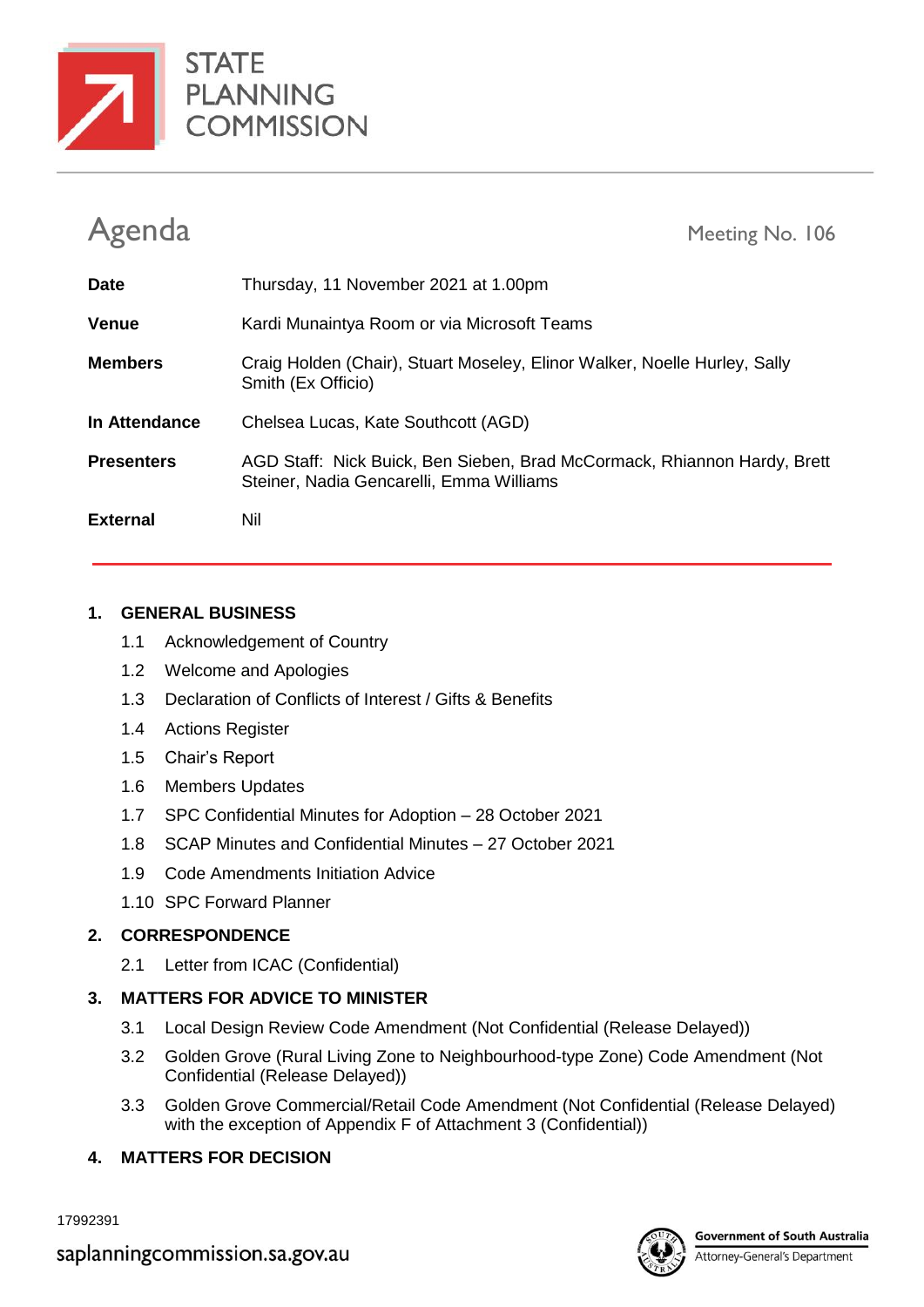



| Agenda            | Meeting No. 106                                                                                                      |
|-------------------|----------------------------------------------------------------------------------------------------------------------|
| <b>Date</b>       | Thursday, 11 November 2021 at 1.00pm                                                                                 |
| <b>Venue</b>      | Kardi Munaintya Room or via Microsoft Teams                                                                          |
| <b>Members</b>    | Craig Holden (Chair), Stuart Moseley, Elinor Walker, Noelle Hurley, Sally<br>Smith (Ex Officio)                      |
| In Attendance     | Chelsea Lucas, Kate Southcott (AGD)                                                                                  |
| <b>Presenters</b> | AGD Staff: Nick Buick, Ben Sieben, Brad McCormack, Rhiannon Hardy, Brett<br>Steiner, Nadia Gencarelli, Emma Williams |
| <b>External</b>   | Nil                                                                                                                  |

#### **1. GENERAL BUSINESS**

- 1.1 Acknowledgement of Country
- 1.2 Welcome and Apologies
- 1.3 Declaration of Conflicts of Interest / Gifts & Benefits
- 1.4 Actions Register
- 1.5 Chair's Report
- 1.6 Members Updates
- 1.7 SPC Confidential Minutes for Adoption 28 October 2021
- 1.8 SCAP Minutes and Confidential Minutes 27 October 2021
- 1.9 Code Amendments Initiation Advice
- 1.10 SPC Forward Planner

### **2. CORRESPONDENCE**

2.1 Letter from ICAC (Confidential)

### **3. MATTERS FOR ADVICE TO MINISTER**

- 3.1 Local Design Review Code Amendment (Not Confidential (Release Delayed))
- 3.2 Golden Grove (Rural Living Zone to Neighbourhood-type Zone) Code Amendment (Not Confidential (Release Delayed))
- 3.3 Golden Grove Commercial/Retail Code Amendment (Not Confidential (Release Delayed) with the exception of Appendix F of Attachment 3 (Confidential))
- **4. MATTERS FOR DECISION**

17992391



Attorney-General's Department